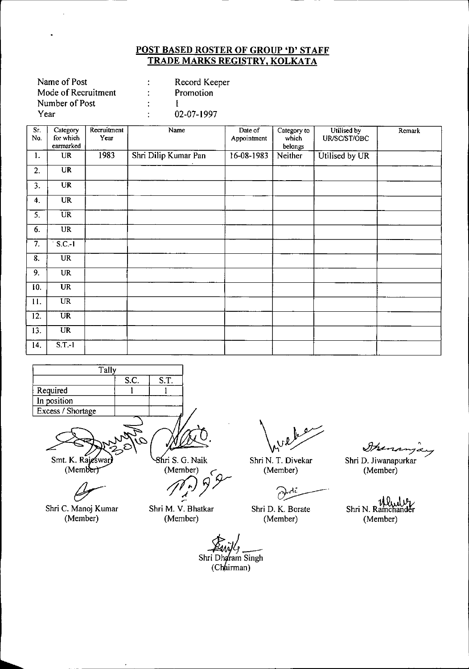| Name of Post        |    | Record Keeper |
|---------------------|----|---------------|
| Mode of Recruitment |    | Promotion     |
| Number of Post      |    |               |
| Year                | ٠. | 02-07-1997    |
|                     |    |               |

| Sī.              | Category                          | Recruitment | Name                 | Date of     | Category to | Utilised by    | Remark |
|------------------|-----------------------------------|-------------|----------------------|-------------|-------------|----------------|--------|
| No.              | for which                         | Year        |                      | Appointment | which       | UR/SC/ST/OBC   |        |
|                  | earmarked                         |             |                      |             | belongs     |                |        |
| 1.               | $\ensuremath{\mathsf{UR}}\xspace$ | 1983        | Shri Dilip Kumar Pan | 16-08-1983  | Neither     | Utilised by UR |        |
| 2.               | <b>UR</b>                         |             |                      |             |             |                |        |
| 3.               | <b>UR</b>                         |             |                      |             |             |                |        |
| 4.               | <b>UR</b>                         |             |                      |             |             |                |        |
| $\overline{5}$ . | <b>UR</b>                         |             |                      |             |             |                |        |
| 6.               | UR                                |             |                      |             |             |                |        |
| 7.               | $S.C.-1$                          |             |                      |             |             |                |        |
| 8.               | <b>UR</b>                         |             |                      |             |             |                |        |
| 9.               | <b>UR</b>                         |             |                      |             |             |                |        |
| 10.              | <b>UR</b>                         |             |                      |             |             |                |        |
| 11.              | $\overline{UR}$                   |             |                      |             |             |                |        |
| 12.              | <b>UR</b>                         |             |                      |             |             |                |        |
| 13.              | <b>UR</b>                         |             |                      |             |             |                |        |
| 14.              | $S.T.-1$                          |             |                      |             |             |                |        |



8hri S. G. Naik Smt. K. Rajeswar (Member)

 $(Member)$ 

Shri C. Manoj Kumar (Member)

Shri M. V. Bhatkar (Member)

*ft/Jjr*

Shri N. T. Divekar (Member)

 $\overline{C}$ 

Shri D. K. Borate (Member)

Shri D. Jiwanapurkar

(Member)

Ituna

ullide Shri N. Ramchander (Member)

er<br>Shri Dharam Singh

(Chairman)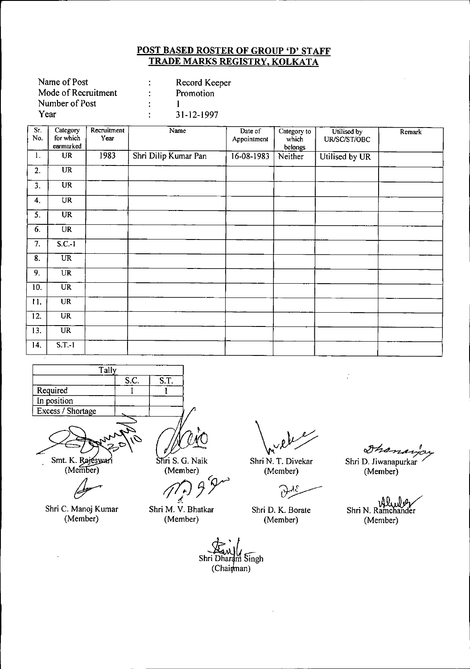| Name of Post        |   | Record Keeper |
|---------------------|---|---------------|
| Mode of Recruitment | ÷ | Promotion     |
| Number of Post      |   |               |
| Year                | ٠ | 31-12-1997    |
|                     |   |               |

| Sr.<br>No.        | Category<br>for which  | Recruitment<br>Year | Name                 | Date of<br>Appointment | Category to<br>which | Utilised by<br>UR/SC/ST/OBC | Remark |
|-------------------|------------------------|---------------------|----------------------|------------------------|----------------------|-----------------------------|--------|
|                   | earmarked              |                     |                      |                        | belongs              |                             |        |
| $\mathbf{1}$ .    | <b>UR</b>              | 1983                | Shri Dilip Kumar Pan | $16-08-1983$           | Neither              | Utilised by UR              |        |
| 2.                | $\overline{\text{UR}}$ |                     |                      |                        |                      |                             |        |
| 3.                | <b>UR</b>              |                     |                      |                        |                      |                             |        |
| 4.                | <b>UR</b>              |                     |                      |                        |                      |                             |        |
| 5.                | $\overline{\text{UR}}$ |                     |                      |                        |                      |                             |        |
| 6.                | <b>UR</b>              |                     |                      |                        |                      |                             |        |
| 7.                | $S.C.-1$               |                     |                      |                        |                      |                             |        |
| 8.                | $\overline{UR}$        |                     |                      |                        |                      |                             |        |
| 9.                | <b>UR</b>              |                     |                      |                        |                      |                             |        |
| 10.               | <b>UR</b>              |                     |                      |                        |                      |                             |        |
| 11.               | <b>UR</b>              |                     |                      |                        |                      |                             |        |
| $\overline{12}$ . | $\overline{UR}$        |                     |                      |                        |                      |                             |        |
| 13.               | UR                     |                     |                      |                        |                      |                             |        |
| 14.               | $S.T.-1$               |                     |                      |                        |                      |                             |        |
| $\sim$            |                        |                     |                      |                        |                      |                             |        |



Smt. K. Rajeswari<br>(Member)

Shri C. Manoj Kumar (Member)

Shri S. G. Naik (Member) (Melhoer)<br>(1, 9 Pm

Shri M. V. Bhatkar (Member)

Shri N. T. Divekar (Member)

 $\partial$ 

(Member)

Shri D. Jiwanapurkar 7 (Member)

Shri N. Ramchander (Member)

 $\delta h$ a

Shri Dhardm Singh  $(Chai$ *fman*)

Shri D. K. Borate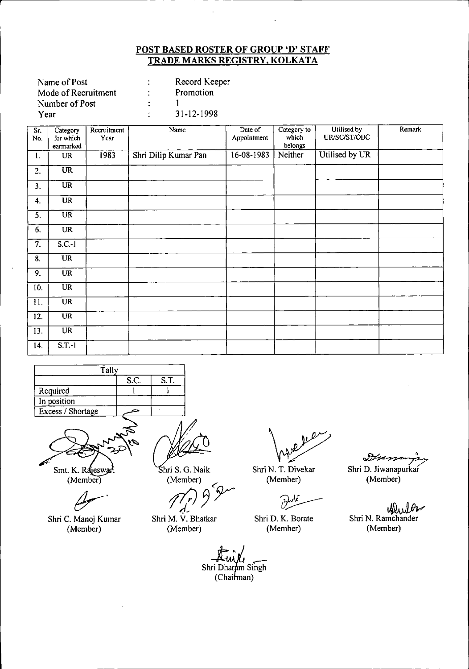| Name of Post        |   | Record Keeper |
|---------------------|---|---------------|
| Mode of Recruitment | ٠ | Promotion     |
| Number of Post      | ÷ |               |
| Year                | ٠ | 31-12-1998    |

| Sr.<br>No.       | Category<br>for which<br>earmarked | Recruitment<br>Year | Name                 | Date of<br>Appointment | Category to<br>which<br>belongs | Utilised by<br>UR/SC/ST/OBC | Remark |
|------------------|------------------------------------|---------------------|----------------------|------------------------|---------------------------------|-----------------------------|--------|
| 1.               | <b>UR</b>                          | 1983                | Shri Dilip Kumar Pan | 16-08-1983             | Neither                         | Utilised by UR              |        |
| 2.               | <b>UR</b>                          |                     |                      |                        |                                 |                             |        |
| 3.               | <b>UR</b>                          |                     |                      |                        |                                 |                             |        |
| 4.               | <b>UR</b>                          |                     |                      |                        |                                 |                             |        |
| 5.               | $\overline{\text{UR}}$             |                     |                      |                        |                                 |                             |        |
| 6.               | <b>UR</b>                          |                     |                      |                        |                                 |                             |        |
| 7.               | $S.C.-1$                           |                     |                      |                        |                                 |                             |        |
| 8.               | $\overline{UR}$                    |                     |                      |                        |                                 |                             |        |
| $\overline{9}$ . | <b>UR</b>                          |                     |                      |                        |                                 |                             |        |
| 10.              | $\overline{UR}$                    |                     |                      |                        |                                 |                             |        |
| 11.              | <b>UR</b>                          |                     |                      |                        |                                 |                             |        |
| 12.              | $\overline{\text{UR}}$             |                     |                      |                        |                                 |                             |        |
| 13.              | $\overline{UR}$                    |                     |                      |                        |                                 |                             |        |
| 14.              | $S.T.-1$                           |                     |                      |                        |                                 |                             |        |





 $(Member)$ 

Shri C. Manoj Kumar (Member)

hri S. G. Naik (Member)

Member)<br> $\mathcal{M}$ r)  $\mathcal{P}$ 

*d-*Shr; M. V. Bhatkar (Member)

 $\overline{\nu}$ 

Shri N. T. Divekar (Member)

Shr; D. K. Borate (Member)

Dramanja<br>D. Jiwanapurkar Shri D. Jiwanapurkar (Member)

ellular Shri N. Ramchander (Member)

Shri Dharam Singh<br>(Chairman)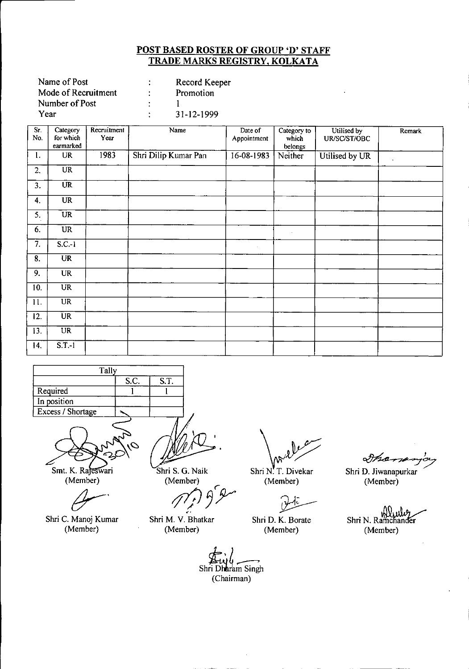| Record Keeper |
|---------------|
| Promotion     |
|               |
| 31-12-1999    |
|               |

| Sr.<br>No.        | Category<br>for which<br>earmarked | Recruitment<br>Year | Name                 | Date of<br>Appointment | Category to<br>which<br>belongs | Utilised by<br>UR/SC/ST/OBC | Remark    |
|-------------------|------------------------------------|---------------------|----------------------|------------------------|---------------------------------|-----------------------------|-----------|
| ι.                | <b>UR</b>                          | 1983                | Shri Dilip Kumar Pan | $16 - 08 - 1983$       | Neither                         | Utilised by UR              | $\bullet$ |
| 2.                | $\overline{\text{UR}}$             |                     |                      |                        |                                 |                             |           |
| 3.                | $\overline{\text{UR}}$             |                     |                      |                        |                                 |                             |           |
| 4.                | <b>UR</b>                          |                     |                      |                        |                                 |                             |           |
| 5.                | <b>UR</b>                          |                     |                      |                        |                                 |                             |           |
| 6.                | <b>UR</b>                          |                     |                      |                        | $\sim$                          |                             |           |
| 7.                | $S.C.-1$                           |                     |                      | $\ddot{\phantom{0}}$   |                                 |                             |           |
| $\overline{8}$ .  | $\overline{\text{UR}}$             |                     |                      |                        |                                 |                             |           |
| 9.                | <b>UR</b>                          |                     |                      |                        |                                 |                             |           |
| 10.               | <b>UR</b>                          |                     |                      |                        |                                 |                             |           |
| $\overline{11}$ . | $\overline{UR}$                    |                     |                      |                        |                                 |                             |           |
| 12.               | <b>UR</b>                          |                     |                      |                        |                                 |                             |           |
| 13.               | $\overline{\text{UR}}$             |                     |                      |                        |                                 |                             |           |
| 14.               | $S.T.-1$                           |                     |                      |                        |                                 |                             |           |



⇘ Smt. K. Rajeswari

(Member)

Shri C. Manoj Kumar (Member)

Shri S. G. Naik (Member)

Shri M. V. Bhatkar (Member)

*r pjJ~y*

Shri N. T. Divekar

Shri D. K. Borate (Member)

(Member)

Inamas

Shri D. Jiwanapurkar (Member)

Shri N. Ramchander (Member)

Shri Dharam Singh (Chairman)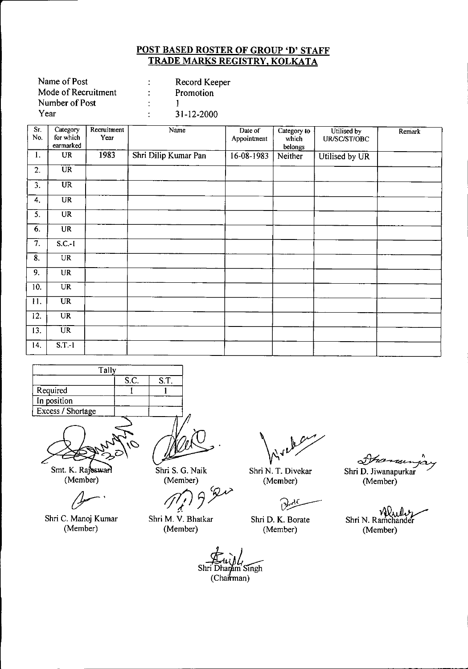| Name of Post        |    | Record Keeper |
|---------------------|----|---------------|
| Mode of Recruitment |    | Promotion     |
| Number of Post      |    |               |
| Year                | ٠. | 31-12-2000    |
|                     |    |               |

| Sr.<br>No.                | Category<br>for which  | Recruitment<br>Year | Name                 | Date of<br>Appointment | Category to<br>which | Utilised by<br>UR/SC/ST/OBC | Remark |
|---------------------------|------------------------|---------------------|----------------------|------------------------|----------------------|-----------------------------|--------|
|                           | earmarked              |                     |                      |                        | belongs              |                             |        |
| 1.                        | <b>UR</b>              | 1983                | Shri Dilip Kumar Pan | 16-08-1983             | Neither              | Utilised by UR              |        |
| 2.                        | $\overline{UR}$        |                     |                      |                        |                      |                             |        |
| 3.                        | $\overline{\text{UR}}$ |                     |                      |                        |                      |                             |        |
| 4.                        | <b>UR</b>              |                     |                      |                        |                      |                             |        |
| 5.                        | <b>UR</b>              |                     |                      |                        |                      |                             |        |
| 6.                        | <b>UR</b>              |                     |                      |                        |                      |                             |        |
| $\overline{\tau}$ .       | $S.C.-I$               |                     |                      |                        |                      |                             |        |
| $\overline{\mathbf{8}}$ . | UR                     |                     |                      |                        |                      |                             |        |
| 9.                        | <b>UR</b>              |                     |                      |                        |                      |                             |        |
| 10.                       | <b>UR</b>              |                     |                      |                        |                      |                             |        |
| 11.                       | <b>UR</b>              |                     |                      |                        |                      |                             |        |
| 12.                       | <b>UR</b>              |                     |                      |                        |                      |                             |        |
| 13.                       | <b>UR</b>              |                     |                      |                        |                      |                             |        |
| 14.                       | $S.T.-1$               |                     |                      |                        |                      |                             |        |

| Tally             |      |      |
|-------------------|------|------|
|                   | S.C. | S.T. |
| Required          |      |      |
| In position       |      |      |
| Excess / Shortage |      |      |
|                   |      |      |

Smt. K. Rajesward (Member)

Shri C. Manoj Kumar (Member)

Shri S. G. Naik

**(Member)**<br>(*Member*)<br>*f*<sub>*f*</sub>/) <del>*f*</del>

Shri N. T. Divekar

.<br>.<br>. Shri D. K. Borate (Member)

(Member)

France Shri D. Jiwanapurkar (Member)

Shri N. Ramchander (Member)

Shri M. V. Bhatkar (Member)

 $(Ch$ a $\pi$ man) Shri Dharam Singh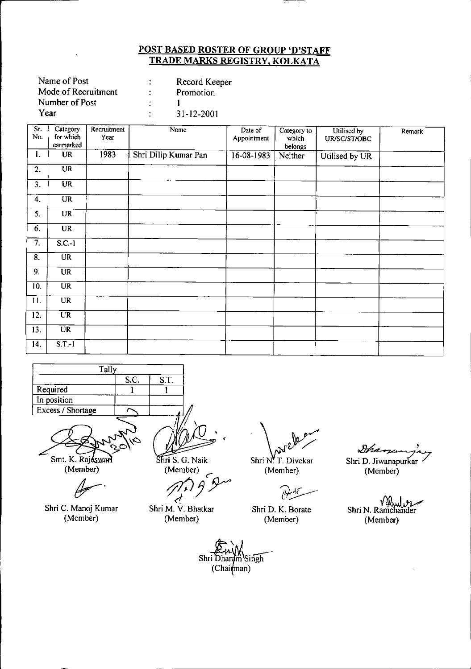Ξ  $\hat{\mathcal{A}}$ 

| Name of Post        |   | Record Keeper    |
|---------------------|---|------------------|
| Mode of Recruitment |   | Promotion        |
| Number of Post      |   |                  |
| Year                | ٠ | $31 - 12 - 2001$ |
|                     |   |                  |

| Sr.<br>No.          | Category<br>for which<br>earmarked | Recruitment<br>Year | Name                 | Date of<br>Appointment   | Category to<br>which<br>belongs | Utilised by<br>UR/SC/ST/OBC | Remark |
|---------------------|------------------------------------|---------------------|----------------------|--------------------------|---------------------------------|-----------------------------|--------|
| $\mathbf{1}$ .      | <b>UR</b>                          | 1983                | Shri Dilip Kumar Pan | $\overline{16}$ -08-1983 | Neither                         | Utilised by UR              |        |
| 2.                  | $\overline{\text{UR}}$             |                     |                      |                          |                                 |                             |        |
| 3.                  | <b>UR</b>                          |                     |                      |                          |                                 |                             |        |
| 4.                  | <b>UR</b>                          |                     |                      |                          |                                 |                             |        |
| 5.                  | <b>UR</b>                          |                     |                      |                          |                                 |                             |        |
| 6.                  | <b>UR</b>                          |                     |                      |                          |                                 |                             |        |
| $\overline{\tau}$ . | $S.C.-1$                           |                     |                      |                          |                                 |                             |        |
| 8.                  | <b>UR</b>                          |                     |                      |                          |                                 |                             |        |
| $\overline{9}$ .    | <b>UR</b>                          |                     |                      |                          |                                 |                             |        |
| 10.                 | $\overline{\text{UR}}$             |                     |                      |                          |                                 |                             |        |
| 11.                 | UR                                 |                     |                      |                          |                                 |                             |        |
| 12.                 | <b>UR</b>                          |                     |                      |                          |                                 |                             |        |
| 13.                 | <b>UR</b>                          |                     |                      |                          |                                 |                             |        |
| 14.                 | $S.T.-1$                           |                     |                      |                          |                                 |                             |        |

| Tally             |  |  |  |  |  |
|-------------------|--|--|--|--|--|
| S.T.<br>S.C.      |  |  |  |  |  |
| Required          |  |  |  |  |  |
| In position       |  |  |  |  |  |
| Excess / Shortage |  |  |  |  |  |
|                   |  |  |  |  |  |

Smt. K. Rajesward

(Member)

~.

Shri C. Manoj Kumar (Member)

Shri S. G. Naik

(Member) *~jY*  $\epsilon$  $\leq$ 

Shri M. V. Bhatkar (Member)

 $\beta$ 

Shri D. K. Borate (Member)

Dha Shri N. T. Divekar Shri D. Jiwanapurkar (Member) (Member)

Shri N. Ramchander (Member)

Shri Dharam Singh  $(Chai<sub>man</sub>)$ 

,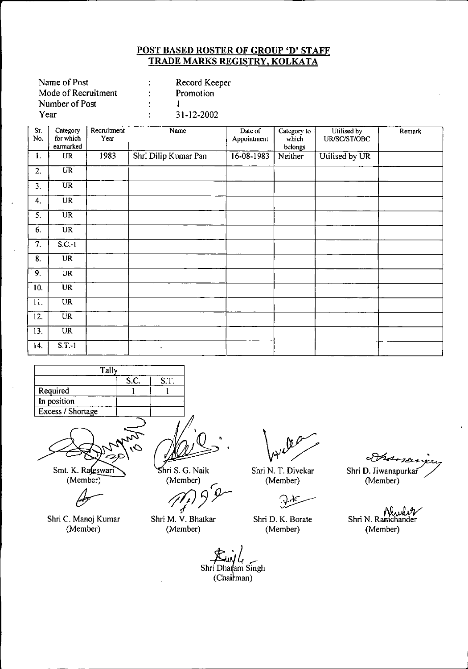|   | Record Keeper |
|---|---------------|
| ÷ | Promotion     |
|   |               |
| ٠ | 31-12-2002    |
|   |               |

| Sr.<br>No.       | Category<br>for which<br>earmarked | Recruitment<br>Year | Name                 | Date of<br>Appointment | Category to<br>which<br>belongs | Utilised by<br>UR/SC/ST/OBC | Remark |
|------------------|------------------------------------|---------------------|----------------------|------------------------|---------------------------------|-----------------------------|--------|
| 1.               | <b>UR</b>                          | 1983                | Shri Dilip Kumar Pan | $16 - 08 - 1983$       | Neither                         | Utilised by UR              |        |
| 2.               | $\overline{\text{UR}}$             |                     |                      |                        |                                 |                             |        |
| 3.               | $\overline{\text{UR}}$             |                     |                      |                        |                                 |                             |        |
| 4.               | <b>UR</b>                          |                     |                      |                        |                                 |                             |        |
| $\overline{5}$ . | $\overline{\text{UR}}$             |                     |                      |                        |                                 |                             |        |
| 6.               | <b>UR</b>                          |                     |                      |                        |                                 |                             |        |
| $\overline{7}$ . | $S.C.-1$                           |                     |                      |                        |                                 |                             |        |
| $\overline{8}$ . | $\overline{\text{UR}}$             |                     |                      |                        |                                 |                             |        |
| 9.               | UR                                 |                     |                      |                        |                                 |                             |        |
| 10.              | <b>UR</b>                          |                     |                      |                        |                                 |                             |        |
| 11.              | <b>UR</b>                          |                     |                      |                        |                                 |                             |        |
| 12.              | UR                                 |                     |                      |                        |                                 |                             |        |
| 13.              | <b>UR</b>                          |                     |                      |                        |                                 |                             |        |
| 14.              | $S.T.-1$                           |                     | $\epsilon$           |                        |                                 |                             |        |

| Tally             |  |  |  |  |  |
|-------------------|--|--|--|--|--|
| S.T.<br>S.C.      |  |  |  |  |  |
| Required          |  |  |  |  |  |
| In position       |  |  |  |  |  |
| Excess / Shortage |  |  |  |  |  |
|                   |  |  |  |  |  |

Smt. K. Racswari  $(Member)$ 

Shri C. Manoj Kumar (Member)

•

hri S. G. Naik (Member)

/f1J*;),r I* Shri M. V. Bhatkar

(Member)

Shri N. T. Divekar (Member)

Shri D. K. Borate (Member)

Shri D. Jiwanapurkar (Member)

Shane

Shri N. Ramchander (Member)

*a*<br>*ri* Dha<br>(Cha **E**<br>Shri Dharam Singh  $(Chainman)$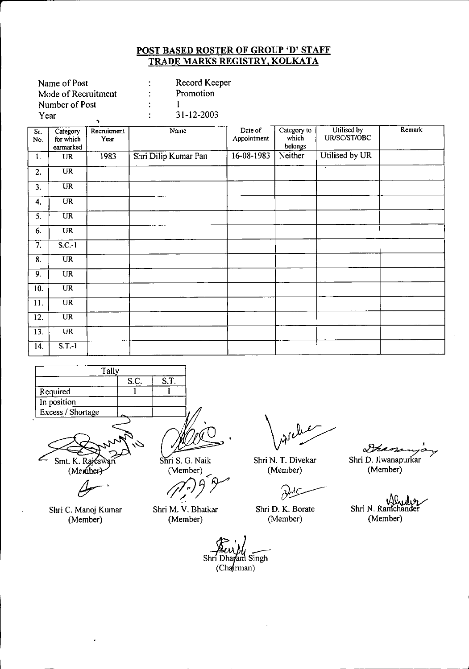| Name of Post        |    | Record Keeper    |
|---------------------|----|------------------|
| Mode of Recruitment |    | Promotion        |
| Number of Post      | ٠  |                  |
| Year                | ٠. | $31 - 12 - 2003$ |
|                     |    |                  |

**r**

| Sr.<br>No.       | Category<br>for which<br>earmarked | Recruitment<br>Year | Name                 | Date of<br>Appointment | Category to<br>which<br>belongs | Utilised by<br>UR/SC/ST/OBC | Remark |
|------------------|------------------------------------|---------------------|----------------------|------------------------|---------------------------------|-----------------------------|--------|
| 1.               | <b>UR</b>                          | 1983                | Shri Dilip Kumar Pan | 16-08-1983             | Neither                         | Utilised by UR              |        |
| 2.               | <b>UR</b>                          |                     |                      |                        |                                 | $\overline{\cdot}$          |        |
| 3.               | <b>UR</b>                          |                     |                      |                        |                                 |                             |        |
| 4.               | <b>UR</b>                          |                     |                      |                        |                                 |                             |        |
| 5.               | $\ensuremath{\mathsf{UR}}\xspace$  |                     |                      |                        |                                 |                             |        |
| 6.               | <b>UR</b>                          |                     |                      |                        |                                 |                             |        |
| $\overline{7}$ . | $S.C.-1$                           |                     |                      |                        |                                 |                             |        |
| 8.               | <b>UR</b>                          |                     |                      |                        |                                 |                             |        |
| 9.               | <b>UR</b>                          |                     |                      |                        |                                 |                             |        |
| 10.              | <b>UR</b>                          |                     |                      |                        |                                 |                             |        |
| 11.              | $\overline{UR}$                    |                     |                      |                        |                                 |                             |        |
| 12.              | <b>UR</b>                          |                     |                      |                        |                                 |                             |        |
| 13.              | $\overline{\text{UR}}$             |                     |                      |                        |                                 |                             |        |
| 14.              | S.T.1                              |                     |                      |                        |                                 |                             |        |



Smt. K. Rajeswari  $(Menuber)$ 

Shri C. Manoj Kumar (Member)

Shri S. G. Naik (Member)

*;fl))<'Y* Shri M. V. Bhatkar

(Member)

Shri N. T. Divekar (Member)

فيليلون

Shri D. K. Borate (Member)

Shri Dhayam Singh

 $(Cha$ <sup>(rman)</sup>

Dhand Shri D. Jiwanapurkar

(Member)

Shri N. Ramchander (Member)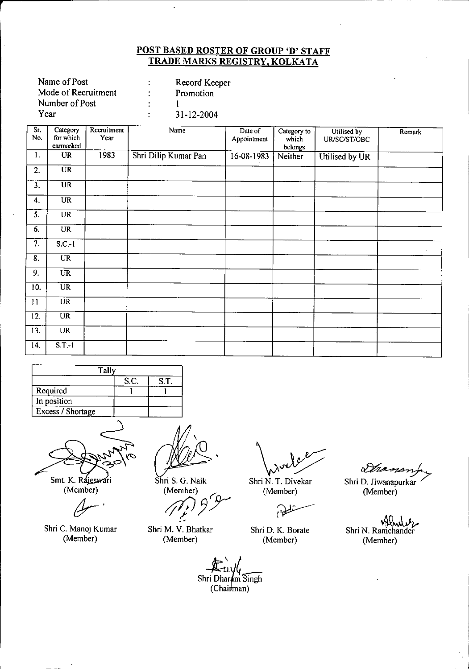| Record Keeper |
|---------------|
| Promotion     |
|               |
| 31-12-2004    |
|               |

**r**

| Sr.<br>No.        | Category<br>for which<br>earmarked | Recruitment<br>Year | Name                 | Date of<br>Appointment | Category to<br>which<br>belongs | Utilised by<br>UR/SC/ST/OBC | Remark |
|-------------------|------------------------------------|---------------------|----------------------|------------------------|---------------------------------|-----------------------------|--------|
| 1.                | <b>UR</b>                          | 1983                | Shri Dilip Kumar Pan | $16 - 08 - 1983$       | Neither                         | Utilised by UR              |        |
| 2.                | $\overline{UR}$                    |                     |                      |                        |                                 |                             |        |
| 3.                | $\overline{UR}$                    |                     |                      |                        |                                 |                             |        |
| 4.                | <b>UR</b>                          |                     |                      |                        |                                 |                             |        |
| 5.                | <b>UR</b>                          |                     |                      |                        |                                 |                             |        |
| 6.                | <b>UR</b>                          |                     |                      |                        |                                 |                             |        |
| 7.                | $S.C.-1$                           |                     |                      |                        |                                 |                             | $\sim$ |
| $\overline{8}$ .  | <b>UR</b>                          |                     |                      |                        |                                 |                             |        |
| 9.                | <b>UR</b>                          |                     |                      |                        |                                 |                             |        |
| 10.               | $\overline{UR}$                    |                     |                      |                        |                                 |                             |        |
| 11.               | $\overline{UR}$                    |                     |                      |                        |                                 |                             |        |
| 12.               | <b>UR</b>                          |                     |                      |                        |                                 |                             |        |
| $\overline{13}$ . | <b>UR</b>                          |                     |                      |                        |                                 |                             |        |
| 14.               | $S.T.-1$                           |                     |                      |                        |                                 |                             |        |

| Tally             |      |      |
|-------------------|------|------|
|                   | S.C. | S.T. |
| Required          |      |      |
| In position       |      |      |
| Excess / Shortage |      |      |



Smt. K. Rajeswari (Member)

 $\mathscr{Q}^{-1}$ 

Shri C. Manoj Kumar (Member)

Shri S. G. Naik (Member)

*tflP3~*

Shri M. V. Bhatkar (Member)

*\Jy/* Shri N. T. Divekar (Member)

نلطق

Shri D. K. Borate (Member)

Dhanon Shri D. Jiwanapurkar (Member)

~ Shri N. Ramchander (Member)

 $\frac{1}{2}$ 

**E**uyle<br>Shri Dharam Singh (Chairman)